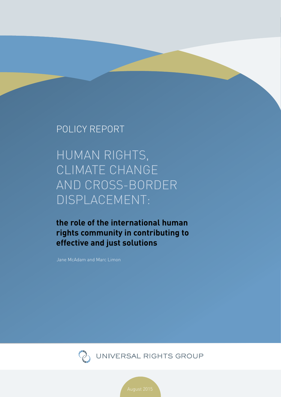### POLICY REPORT

Human rights, climate change and cross-border displacement:

**the role of the international human rights community in contributing to effective and just solutions** 

Jane McAdam and Marc Limon



UNIVERSAL RIGHTS GROUP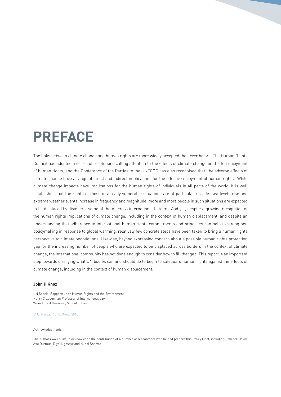# **preface**

The links between climate change and human rights are more widely accepted than ever before. The Human Rights Council has adopted a series of resolutions calling attention to the effects of climate change on the full enjoyment of human rights, and the Conference of the Parties to the UNFCCC has also recognised that 'the adverse effects of climate change have a range of direct and indirect implications for the effective enjoyment of human rights.' While climate change impacts have implications for the human rights of individuals in all parts of the world, it is well established that the rights of those in already vulnerable situations are at particular risk. As sea levels rise and extreme weather events increase in frequency and magnitude, more and more people in such situations are expected to be displaced by disasters, some of them across international borders. And yet, despite a growing recognition of the human rights implications of climate change, including in the context of human displacement, and despite an understanding that adherence to international human rights commitments and principles can help to strengthen policymaking in response to global warming, relatively few concrete steps have been taken to bring a human rights perspective to climate negotiations. Likewise, beyond expressing concern about a possible human rights protection gap for the increasing number of people who are expected to be displaced across borders in the context of climate change, the international community has not done enough to consider how to fill that gap. This report is an important step towards clarifying what UN bodies can and should do to begin to safeguard human rights against the effects of climate change, including in the context of human displacement.

#### **John H Knox**

UN Special Rapporteur on Human Rights and the Environment Henry C Lauerman Professor of International Law Wake Forest University School of Law

#### © Universal Rights Group 2015

#### Acknowledgements

The authors would like to acknowledge the contribution of a number of researchers who helped prepare this Policy Brief, including Rebecca Dowd, Asu Durmus, Diya Jugessur and Kunal Sharma.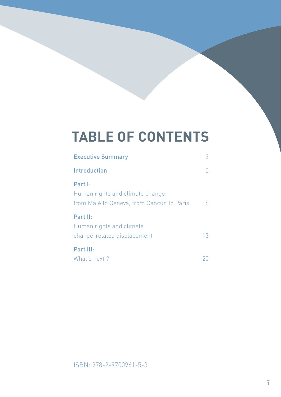# **table of contents**

| <b>Executive Summary</b>                  | $\mathcal{P}$ |
|-------------------------------------------|---------------|
| Introduction                              | b             |
| Part I:                                   |               |
| Human rights and climate change:          |               |
| from Malé to Geneva, from Cancún to Paris |               |
| Part II:                                  |               |
| Human rights and climate                  |               |
| change-related displacement               | 13            |
| Part III:                                 |               |
| What's next?                              |               |

ISBN: 978-2-9700961-5-3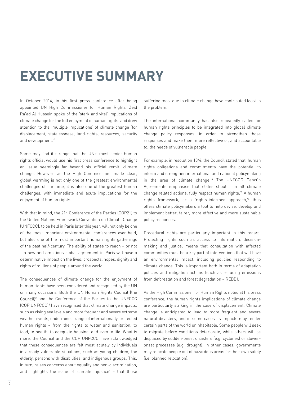# **Executive summary**

In October 2014, in his first press conference after being appointed UN High Commissioner for Human Rights, Zeid Ra'ad Al Hussein spoke of the 'stark and vital' implications of climate change for the full enjoyment of human rights, and drew attention to the 'multiple implications' of climate change 'for displacement, statelessness, land-rights, resources, security and development.'1

Some may find it strange that the UN's most senior human rights official would use his first press conference to highlight an issue seemingly far beyond his official remit: climate change. However, as the High Commissioner made clear, global warming is not only one of the greatest environmental challenges of our time, it is also one of the greatest human challenges, with immediate and acute implications for the enjoyment of human rights.

With that in mind, the 21st Conference of the Parties (COP21) to the United Nations Framework Convention on Climate Change (UNFCCC), to be held in Paris later this year, will not only be one of the most important environmental conferences ever held, but also one of the most important human rights gatherings of the past half-century. The ability of states to reach – or not – a new and ambitious global agreement in Paris will have a determinative impact on the lives, prospects, hopes, dignity and rights of millions of people around the world.

<span id="page-3-0"></span>The consequences of climate change for the enjoyment of human rights have been considered and recognised by the UN on many occasions. Both the UN Human Rights Council (the Council $l^2$  and the Conference of the Parties to the UNFC (COP UNFCCC) 3 have recognised that climate change impacts, such as rising sea levels and more frequent and severe extreme weather events, undermine a range of internationally-protected human rights – from the rights to water and sanitation, to food, to health, to adequate housing, and even to life. What is more, the Council and the COP UNFCCC have acknowledged that these consequences are felt most acutely by individuals in already vulnerable situations, such as young children, the elderly, persons with disabilities, and indigenous groups. This, in turn, raises concerns about equality and non-discrimination, and highlights the issue of 'climate injustice' – that those

suffering most due to climate change have contributed least to the problem.

The international community has also repeatedly called for human rights principles to be integrated into global climate change policy responses, in order to strengthen those responses and make them more reflective of, and accountable to, the needs of vulnerable people.

For example, in resolution 10/4, the Council stated that 'human rights obligations and commitments have the potential to inform and strengthen international and national policymaking in the area of climate change.'4 The UNFCCC Cancún Agreements emphasise that states should, 'in all climate change related actions, fully respect human rights.<sup>'5</sup> A human rights framework, or a 'rights-informed approach,<sup>'6</sup> thus offers climate policymakers a tool to help devise, develop and implement better, fairer, more effective and more sustainable policy responses.

Procedural rights are particularly important in this regard. Protecting rights such as access to information, decisionmaking and justice, means that consultation with affected communities must be a key part of interventions that will have an environmental impact, including policies responding to climate change. This is important both in terms of adaptation policies and mitigation actions (such as reducing emissions from deforestation and forest degradation – REDD).

As the High Commissioner for Human Rights noted at his press conference, the human rights implications of climate change are particularly striking in the case of displacement. Climate change is anticipated to lead to more frequent and severe natural disasters, and in some cases its impacts may render certain parts of the world uninhabitable. Some people will seek to migrate before conditions deteriorate, while others will be displaced by sudden-onset disasters (e.g. cyclones) or sloweronset processes (e.g. drought). In other cases, governments may relocate people out of hazardous areas for their own safety (i.e. planned relocation).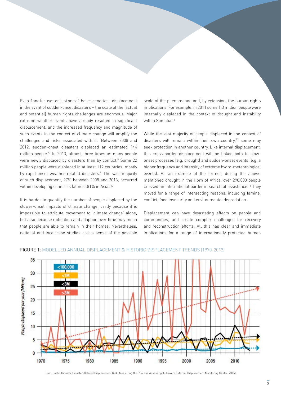Even if one focuses on just one of these scenarios – displacement in the event of sudden-onset disasters – the scale of the (actual and potential) human rights challenges are enormous. Major extreme weather events have already resulted in significant displacement, and the increased frequency and magnitude of such events in the context of climate change will amplify the challenges and risks associated with it. 'Between 2008 and 2012, sudden-onset disasters displaced an estimated 144 million people.'7 In 2013, almost three times as many people were newly displaced by disasters than by conflict.<sup>8</sup> Some 22 million people were displaced in at least 119 countries, mostly by rapid-onset weather-related disasters.<sup>9</sup> The vast majority of such displacement, 97% between 2008 and 2013, occurred within developing countries (almost 81% in Asia).<sup>10</sup>

<span id="page-4-0"></span>It is harder to quantify the number of people displaced by the slower-onset impacts of climate change, partly because it is impossible to attribute movement to 'climate change' alone, but also because mitigation and adaption over time may mean that people are able to remain in their homes. Nevertheless, national and local case studies give a sense of the possible

scale of the phenomenon and, by extension, the human rights implications. For example, in 2011 some 1.3 million people were internally displaced in the context of drought and instability within Somalia.<sup>11</sup>

<span id="page-4-2"></span><span id="page-4-1"></span>While the vast majority of people displaced in the context of disasters will remain within their own country, $12$  some may seek protection in another country. Like internal displacement, this cross-border displacement will be linked both to slowonset processes (e.g. drought) and sudden-onset events (e.g. a higher frequency and intensity of extreme hydro-meteorological events). As an example of the former, during the abovementioned drought in the Horn of Africa, over 290,000 people crossed an international border in search of assistance.13 They moved for a range of intersecting reasons, including famine, conflict, food insecurity and environmental degradation.

Displacement can have devastating effects on people and communities, and create complex challenges for recovery and reconstruction efforts. All this has clear and immediate implications for a range of internationally protected human



Figure 1: Modelled annual displacement & historic displacement trends (1970-2013)

From: Justin Ginnetti, Disaster-Related Displacement Risk: Measuring the Risk and Assessing its Drivers (Internal Displacement Monitoring Centre, 2015).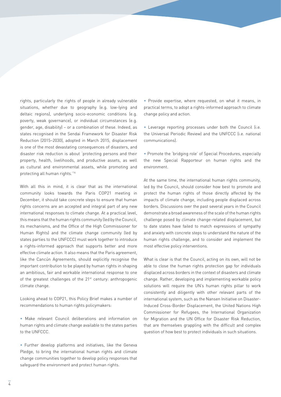rights, particularly the rights of people in already vulnerable situations, whether due to geography (e.g. low-lying and deltaic regions), underlying socio-economic conditions (e.g. poverty, weak governance), or individual circumstances (e.g. gender, age, disability) – or a combination of these. Indeed, as states recognised in the Sendai Framework for Disaster Risk Reduction (2015–2030), adopted in March 2015, displacement is one of the most devastating consequences of disasters, and disaster risk reduction is about 'protecting persons and their property, health, livelihoods, and productive assets, as well as cultural and environmental assets, while promoting and protecting all human rights.'14

With all this in mind, it is clear that as the international community looks towards the Paris COP21 meeting in December, it should take concrete steps to ensure that human rights concerns are an accepted and integral part of any new international responses to climate change. At a practical level, this means that the human rights community (led by the Council, its mechanisms, and the Office of the High Commissioner for Human Rights) and the climate change community (led by states parties to the UNFCCC) must work together to introduce a rights-informed approach that supports better and more effective climate action. It also means that the Paris agreement, like the Cancún Agreements, should explicitly recognise the important contribution to be played by human rights in shaping an ambitious, fair and workable international response to one of the greatest challenges of the 21<sup>st</sup> century: anthropogenic climate change.

Looking ahead to COP21, this Policy Brief makes a number of recommendations to human rights policymakers:

• Make relevant Council deliberations and information on human rights and climate change available to the states parties to the UNFCCC.

• Further develop platforms and initiatives, like the Geneva Pledge, to bring the international human rights and climate change communities together to develop policy responses that safeguard the environment and protect human rights.

• Provide expertise, where requested, on what it means, in practical terms, to adopt a rights-informed approach to climate change policy and action.

• Leverage reporting processes under both the Council (i.e. the Universal Periodic Review) and the UNFCCC (i.e. national communications).

• Promote the 'bridging role' of Special Procedures, especially the new Special Rapporteur on human rights and the environment.

At the same time, the international human rights community, led by the Council, should consider how best to promote and protect the human rights of those directly affected by the impacts of climate change, including people displaced across borders. Discussions over the past several years in the Council demonstrate a broad awareness of the scale of the human rights challenge posed by climate change-related displacement, but to date states have failed to match expressions of sympathy and anxiety with concrete steps to understand the nature of the human rights challenge, and to consider and implement the most effective policy interventions.

What is clear is that the Council, acting on its own, will not be able to close the human rights protection gap for individuals displaced across borders in the context of disasters and climate change. Rather, developing and implementing workable policy solutions will require the UN's human rights pillar to work consistently and diligently with other relevant parts of the international system, such as the Nansen Initiative on Disaster-Induced Cross-Border Displacement, the United Nations High Commissioner for Refugees, the International Organization for Migration and the UN Office for Disaster Risk Reduction, that are themselves grappling with the difficult and complex question of how best to protect individuals in such situations.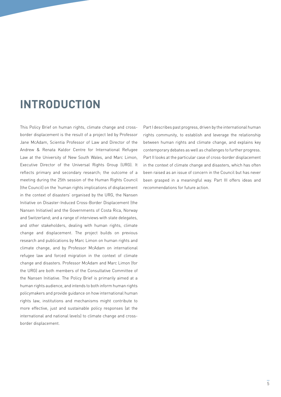## **introduction**

This Policy Brief on human rights, climate change and crossborder displacement is the result of a project led by Professor Jane McAdam, Scientia Professor of Law and Director of the Andrew & Renata Kaldor Centre for International Refugee Law at the University of New South Wales, and Marc Limon, Executive Director of the Universal Rights Group (URG). It reflects primary and secondary research; the outcome of a meeting during the 25th session of the Human Rights Council (the Council) on the 'human rights implications of displacement in the context of disasters' organised by the URG, the Nansen Initiative on Disaster-Induced Cross-Border Displacement (the Nansen Initiative) and the Governments of Costa Rica, Norway and Switzerland; and a range of interviews with state delegates, and other stakeholders, dealing with human rights, climate change and displacement. The project builds on previous research and publications by Marc Limon on human rights and climate change, and by Professor McAdam on international refugee law and forced migration in the context of climate change and disasters. Professor McAdam and Marc Limon (for the URG) are both members of the Consultative Committee of the Nansen Initiative. The Policy Brief is primarily aimed at a human rights audience, and intends to both inform human rights policymakers and provide guidance on how international human rights law, institutions and mechanisms might contribute to more effective, just and sustainable policy responses (at the international and national levels) to climate change and crossborder displacement.

Part I describes past progress, driven by the international human rights community, to establish and leverage the relationship between human rights and climate change, and explains key contemporary debates as well as challenges to further progress. Part II looks at the particular case of cross-border displacement in the context of climate change and disasters, which has often been raised as an issue of concern in the Council but has never been grasped in a meaningful way. Part III offers ideas and recommendations for future action.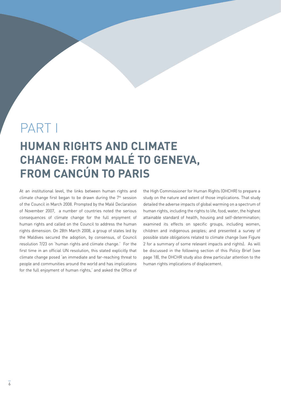## PART I

## **Human rights and climate change: from Malé to Geneva, from Cancún to Paris**

At an institutional level, the links between human rights and climate change first began to be drawn during the  $7<sup>th</sup>$  session of the Council in March 2008. Prompted by the Malé Declaration of November 2007, a number of countries noted the serious consequences of climate change for the full enjoyment of human rights and called on the Council to address the human rights dimension. On 28th March 2008, a group of states led by the Maldives secured the adoption, by consensus, of Council resolution 7/23 on 'human rights and climate change.' For the first time in an official UN resolution, this stated explicitly that climate change posed 'an immediate and far-reaching threat to people and communities around the world and has implications for the full enjoyment of human rights,' and asked the Office of

the High Commissioner for Human Rights (OHCHR) to prepare a study on the nature and extent of those implications. That study detailed the adverse impacts of global warming on a spectrum of human rights, including the rights to life, food, water, the highest attainable standard of health, housing and self-determination; examined its effects on specific groups, including women, children and indigenous peoples; and presented a survey of possible state obligations related to climate change (see Figure 2 for a summary of some relevant impacts and rights). As will be discussed in the following section of this Policy Brief (see page 18), the OHCHR study also drew particular attention to the human rights implications of displacement.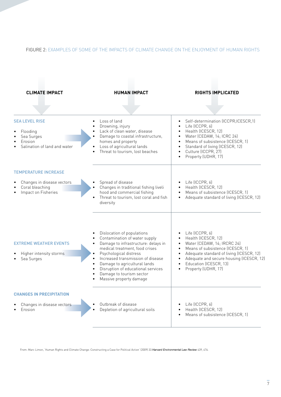### Figure 2: Examples of some of the impacts of climate change on the enjoyment of human rights



From: Marc Limon, 'Human Rights and Climate Change: Constructing a Case for Political Action' (2009) 33 Harvard Environmental Law Review 439, 476.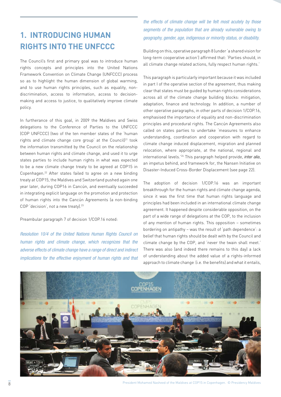### **1. Introducing human rights into the UNFCCC**

The Council's first and primary goal was to introduce human rights concepts and principles into the United Nations Framework Convention on Climate Change (UNFCCC) process so as to highlight the human dimension of global warming, and to use human rights principles, such as equality, nondiscrimination, access to information, access to decisionmaking and access to justice, to qualitatively improve climate policy.

In furtherance of this goal, in 2009 the Maldives and Swiss delegations to the Conference of Parties to the UNFCCC (COP UNFCCC) (two of the ten member states of the 'human rights and climate change core group' at the Council]<sup>21</sup> took the information transmitted by the Council on the relationship between human rights and climate change, and used it to urge states parties to include human rights in what was expected to be a new climate change treaty to be agreed at COP15 in Copenhagen.22 After states failed to agree on a new binding treaty at COP15, the Maldives and Switzerland pushed again one year later, during COP16 in Cancún, and eventually succeeded in integrating explicit language on the promotion and protection of human rights into the Cancún Agreements (a non-binding COP 'decision', not a new treaty).<sup>23</sup>

#### Preambular paragraph 7 of decision 1/COP.16 noted:

*Resolution 10/4 of the United Nations Human Rights Council on human rights and climate change, which recognizes that the adverse effects of climate change have a range of direct and indirect implications for the effective enjoyment of human rights and that*  *the effects of climate change will be felt most acutely by those segments of the population that are already vulnerable owing to geography, gender, age, indigenous or minority status, or disability.*

Building on this, operative paragraph 8 (under 'a shared vision for long-term cooperative action') affirmed that: 'Parties should, in all climate change related actions, fully respect human rights.'

This paragraph is particularly important because it was included in part I of the operative section of the agreement, thus making clear that states must be guided by human rights considerations across all of the climate change building blocks: mitigation, adaptation, finance and technology. In addition, a number of other operative paragraphs, in other parts of decision 1/COP.16, emphasised the importance of equality and non-discrimination principles and procedural rights. The Cancún Agreements also called on states parties to undertake 'measures to enhance understanding, coordination and cooperation with regard to climate change induced displacement, migration and planned relocation, where appropriate, at the national, regional and international levels.<sup>'24</sup> This paragraph helped provide, *inter alia*, an impetus behind, and framework for, the Nansen Initiative on Disaster-Induced Cross-Border Displacement (see page 22).

The adoption of decision 1/COP.16 was an important breakthrough for the human rights and climate change agenda, since it was the first time that human rights language and principles had been included in an international climate change agreement. It happened despite considerable opposition, on the part of a wide range of delegations at the COP, to the inclusion of any mention of human rights. This opposition – sometimes bordering on antipathy – was the result of 'path dependence': a belief that human rights should be dealt with by the Council and climate change by the COP, and 'never the twain shall meet.' There was also (and indeed there remains to this day) a lack of understanding about the added value of a rights-informed approach to climate change (i.e. the benefits) and what it entails,



President Mohamed Nasheed of the Maldives at COP15 in Copenhagen. © Presidency Maldives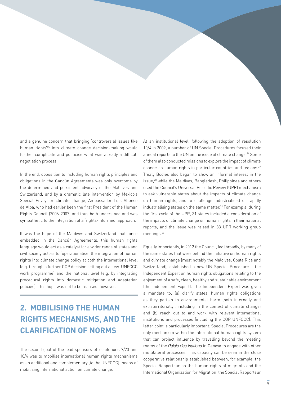and a genuine concern that bringing 'controversial issues like human rights'25 into climate change decision-making would further complicate and politicise what was already a difficult negotiation process.

In the end, opposition to including human rights principles and obligations in the Cancún Agreements was only overcome by the determined and persistent advocacy of the Maldives and Switzerland, and by a dramatic late intervention by Mexico's Special Envoy for climate change, Ambassador Luis Alfonso de Alba, who had earlier been the first President of the Human Rights Council (2006-2007) and thus both understood and was sympathetic to the integration of a 'rights-informed' approach.

It was the hope of the Maldives and Switzerland that, once embedded in the Cancún Agreements, this human rights language would act as a catalyst for a wider range of states and civil society actors to 'operationalise' the integration of human rights into climate change policy at both the international level (e.g. through a further COP decision setting out a new UNFCCC work programme) and the national level (e.g. by integrating procedural rights into domestic mitigation and adaptation policies). This hope was not to be realised, however.

### **2. Mobilising the human rights mechanisms, and the clarification of norms**

The second goal of the lead sponsors of resolutions 7/23 and 10/4 was to mobilise international human rights mechanisms as an additional and complementary (to the UNFCCC) means of mobilising international action on climate change.

At an institutional level, following the adoption of resolution 10/4 in 2009, a number of UN Special Procedures focused their annual reports to the UN on the issue of climate change.<sup>26</sup> Some of them also conducted missions to explore the impact of climate change on human rights in particular countries and regions.<sup>27</sup> Treaty Bodies also began to show an informal interest in the issue,<sup>28</sup> while the Maldives, Bangladesh, Philippines and others used the Council's Universal Periodic Review (UPR) mechanism to ask vulnerable states about the impacts of climate change on human rights, and to challenge industrialised or rapidly industrialising states on the same matter.<sup>29</sup> For example, during the first cycle of the UPR, 31 states included a consideration of the impacts of climate change on human rights in their national reports, and the issue was raised in 33 UPR working group meetings.30

Equally importantly, in 2012 the Council, led (broadly) by many of the same states that were behind the initiative on human rights and climate change (most notably the Maldives, Costa Rica and Switzerland), established a new UN Special Procedure – the Independent Expert on human rights obligations relating to the enjoyment of a safe, clean, healthy and sustainable environment (the Independent Expert). The Independent Expert was given a mandate to: (a) clarify states' human rights obligations as they pertain to environmental harm (both internally and extraterritorially), including in the context of climate change; and (b) reach out to and work with relevant international institutions and processes (including the COP UNFCCC). This latter point is particularly important: Special Procedures are the only mechanism within the international human rights system that can project influence by travelling beyond the meeting rooms of the Palais des Nations in Geneva to engage with other multilateral processes. This capacity can be seen in the close cooperative relationship established between, for example, the Special Rapporteur on the human rights of migrants and the International Organization for Migration; the Special Rapporteur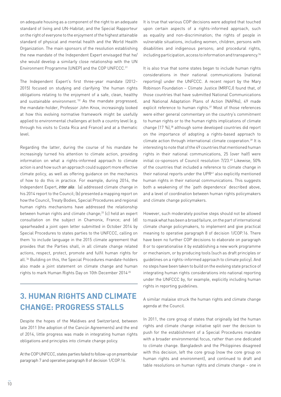on adequate housing as a component of the right to an adequate standard of living and UN-Habitat; and the Special Rapporteur on the right of everyone to the enjoyment of the highest attainable standard of physical and mental health and the World Health Organization. The main sponsors of the resolution establishing the new mandate of the Independent Expert envisaged that he/ she would develop a similarly close relationship with the UN Environment Programme (UNEP) and the COP UNFCCC. 31

The Independent Expert's first three-year mandate (2012– 2015) focused on studying and clarifying 'the human rights obligations relating to the enjoyment of a safe, clean, healthy and sustainable environment.<sup>'32</sup> As the mandate progressed, the mandate-holder, Professor John Knox, increasingly looked at how this evolving normative framework might be usefully applied to environmental challenges at both a country level (e.g. through his visits to Costa Rica and France) and at a thematic level.

Regarding the latter, during the course of his mandate he increasingly turned his attention to climate action, providing information on what a rights-informed approach to climate action is and how such an approach could support more effective climate policy, as well as offering guidance on the mechanics of how to do this in practice. For example, during 2014, the Independent Expert, inter alia: (a) addressed climate change in his 2014 report to the Council; (b) presented a mapping report on how the Council, Treaty Bodies, Special Procedures and regional human rights mechanisms have addressed the relationship between human rights and climate change;<sup>33</sup> (c) held an expert consultation on the subject in Chamonix, France; and (d) spearheaded a joint open letter submitted in October 2014 by Special Procedures to states parties to the UNFCCC, calling on them 'to include language in the 2015 climate agreement that provides that the Parties shall, in all climate change related actions, respect, protect, promote and fulfil human rights for all.'34 Building on this, the Special Procedures mandate-holders also made a joint statement on climate change and human rights to mark Human Rights Day on 10th December 2014.35

### **3. Human Rights and Climate Change: Progress Stalls**

Despite the hopes of the Maldives and Switzerland, between late 2011 (the adoption of the Cancún Agreements) and the end of 2014, little progress was made in integrating human rights obligations and principles into climate change policy.

At the COPUNFCCC, states parties failed to follow-up on preambular paragraph 7 and operative paragraph 8 of decision 1/COP.16.

It is true that various COP decisions were adopted that touched upon certain aspects of a rights-informed approach, such as equality and non-discrimination; the rights of people in vulnerable situations, including women, children, persons with disabilities and indigenous persons; and procedural rights, including participation, access to information and transparency.36

It is also true that some states began to include human rights considerations in their national communications (national reporting) under the UNFCCC. A recent report by the Mary Robinson Foundation – Climate Justice (MRFCJ) found that, of those countries that have submitted National Communications and National Adaptation Plans of Action (NAPAs), 49 made explicit reference to human rights.<sup>37</sup> Most of those references were either general commentary on the country's commitment to human rights or to the human rights implications of climate change (17 %),<sup>38</sup> although some developed countries did report on the importance of adopting a rights-based approach to climate action through international climate cooperation.39 It is interesting to note that of the 49 countries that mentioned human rights in their national communications, 25 (over half) were initial co-sponsors of Council resolution 7/23.<sup>40</sup> Likewise, 50% of the countries that included a reference to climate change in their national reports under the UPR<sup>41</sup> also explicitly mentioned human rights in their national communications. This suggests both a weakening of the 'path dependence' described above, and a level of coordination between human rights policymakers and climate change policymakers.

However, such moderately positive steps should not be allowed to mask what has been a broad failure, on the part of international climate change policymakers, to implement and give practical meaning to operative paragraph 8 of decision 1/COP.16. There have been no further COP decisions to elaborate on paragraph 8 or to operationalise it by establishing a new work programme or mechanism, or by producing tools (such as draft principles or guidelines on a rights-informed approach to climate policy). And no steps have been taken to build on the evolving state practice of integrating human rights considerations into national reporting under the UNFCCC by, for example, explicitly including human rights in reporting guidelines.

A similar malaise struck the human rights and climate change agenda at the Council.

In 2011, the core group of states that originally led the human rights and climate change initiative split over the decision to push for the establishment of a Special Procedures mandate with a broader environmental focus, rather than one dedicated to climate change. Bangladesh and the Philippines disagreed with this decision, left the core group (now the core group on human rights and environment), and continued to draft and table resolutions on human rights and climate change – one in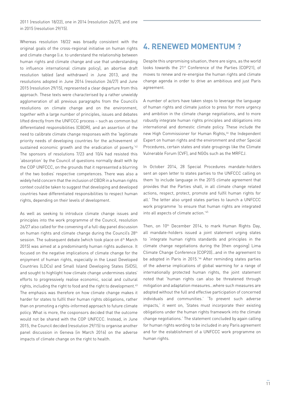2011 (resolution 18/22), one in 2014 (resolution 26/27), and one in 2015 (resolution 29/15).

Whereas resolution 18/22 was broadly consistent with the original goals of the cross-regional initiative on human rights and climate change (i.e. to understand the relationship between human rights and climate change and use that understanding to influence international climate policy), an abortive draft resolution tabled (and withdrawn) in June 2013, and the resolutions adopted in June 2014 (resolution 26/27) and June 2015 (resolution 29/15), represented a clear departure from this approach. These texts were characterised by a rather unwieldy agglomeration of all previous paragraphs from the Council's resolutions on climate change and on the environment, together with a large number of principles, issues and debates lifted directly from the UNFCCC process – such as common but differentiated responsibilities (CBDR), and an assertion of the need to calibrate climate change responses with the 'legitimate priority needs of developing countries for the achievement of sustained economic growth and the eradication of poverty.<sup>'42</sup> The sponsors of resolutions 7/23 and 10/4 had resisted this 'absorption' by the Council of questions normally dealt with by the COP UNFCCC, on the grounds that it represented a blurring of the two bodies' respective competences. There was also a widely held concern that the inclusion of CBDR in a human rights context could be taken to suggest that developing and developed countries have differentiated responsibilities to respect human rights, depending on their levels of development.

As well as seeking to introduce climate change issues and principles into the work programme of the Council, resolution 26/27 also called for the convening of a full-day panel discussion on human rights and climate change during the Council's 28<sup>th</sup> session. The subsequent debate (which took place on 6<sup>th</sup> March 2015) was aimed at a predominantly human rights audience. It focused on the negative implications of climate change for the enjoyment of human rights, especially in the Least Developed Countries (LDCs) and Small Island Developing States (SIDS), and sought to highlight how climate change undermines states' efforts to progressively realise economic, social and cultural rights, including the right to food and the right to development.<sup>43</sup> The emphasis was therefore on how climate change makes it harder for states to fulfil their human rights obligations, rather than on promoting a rights-informed approach to future climate policy. What is more, the cosponsors decided that the outcome would not be shared with the COP UNFCCC. Instead, in June 2015, the Council decided (resolution 29/15) to organise another panel discussion in Geneva (in March 2016) on the adverse impacts of climate change on the right to health.

### **4. Renewed momentum ?**

Despite this unpromising situation, there are signs, as the world looks towards the 21st Conference of the Parties (COP21), of moves to renew and re-energise the human rights and climate change agenda in order to drive an ambitious and just Paris agreement.

A number of actors have taken steps to leverage the language of human rights and climate justice to press for more urgency and ambition in the climate change negotiations, and to more robustly integrate human rights principles and obligations into international and domestic climate policy. These include the new High Commissioner for Human Rights,<sup>44</sup> the Independent Expert on human rights and the environment and other Special Procedures, certain states and state groupings like the Climate Vulnerable Forum (CVF), and NGOs such as the MRFCJ.

In October 2014, 28 Special Procedures mandate-holders sent an open letter to states parties to the UNFCCC calling on them 'to include language in the 2015 climate agreement that provides that the Parties shall, in all climate change related actions, respect, protect, promote and fulfil human rights for all.' The letter also urged states parties to launch a UNFCCC work programme 'to ensure that human rights are integrated into all aspects of climate action.'45

Then, on 10<sup>th</sup> December 2014, to mark Human Rights Day, all mandate-holders issued a joint statement urging states to 'integrate human rights standards and principles in the climate change negotiations during the [then ongoing] Lima Climate Change Conference [COP20]…and in the agreement to be adopted in Paris in 2015.<sup>'46</sup> After reminding states parties of the adverse implications of global warming for a range of internationally protected human rights, the joint statement noted that 'human rights can also be threatened through mitigation and adaptation measures…where such measures are adopted without the full and effective participation of concerned individuals and communities.' 'To prevent such adverse impacts,' it went on, 'States must incorporate their existing obligations under the human rights framework into the climate change negotiations.' The statement concluded by again calling for human rights wording to be included in any Paris agreement and for the establishment of a UNFCCC work programme on human rights.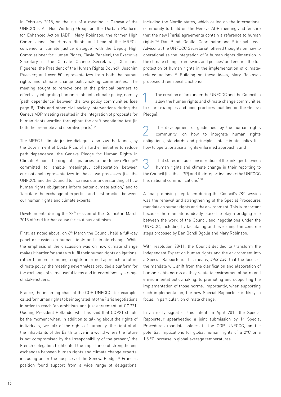In February 2015, on the eve of a meeting in Geneva of the UNFCCC's Ad Hoc Working Group on the Durban Platform for Enhanced Action (ADP), Mary Robinson, the former High Commissioner for Human Rights and head of the MRFCJ, convened a 'climate justice dialogue' with the Deputy High Commissioner for Human Rights, Flavia Pansieri; the Executive Secretary of the Climate Change Secretariat, Christiana Figueres; the President of the Human Rights Council, Joachim Ruecker; and over 50 representatives from both the human rights and climate change policymaking communities. The meeting sought to remove one of the principal barriers to effectively integrating human rights into climate policy, namely 'path dependence' between the two policy communities (see page 8). This and other civil society interventions during the Geneva ADP meeting resulted in the integration of proposals for human rights wording throughout the draft negotiating text (in both the preamble and operative parts).<sup>47</sup>

The MRFCJ 'climate justice dialogue' also saw the launch, by the Government of Costa Rica, of a further initiative to reduce path dependence: the Geneva Pledge for Human Rights in Climate Action. The original signatories to the Geneva Pledge<sup>48</sup> committed to 'enable meaningful collaboration between our national representatives in these two processes [i.e. the UNFCCC and the Council] to increase our understanding of how human rights obligations inform better climate action,' and to 'facilitate the exchange of expertise and best practice between our human rights and climate experts.'

Developments during the 28<sup>th</sup> session of the Council in March 2015 offered further cause for cautious optimism.

First, as noted above, on 6<sup>th</sup> March the Council held a full-day panel discussion on human rights and climate change. While the emphasis of the discussion was on how climate change makes it harder for states to fulfil their human rights obligations, rather than on promoting a rights-informed approach to future climate policy, the meeting nevertheless provided a platform for the exchange of some useful ideas and interventions by a range of stakeholders.

France, the incoming chair of the COP UNFCCC, for example, called for human rights to be integrated into the Paris negotiations in order to reach 'an ambitious and just agreement' at COP21. Quoting President Hollande, who has said that COP21 should be the moment when, in addition to talking about the rights of individuals, 'we talk of the rights of humanity…the right of all the inhabitants of the Earth to live in a world where the future is not compromised by the irresponsibility of the present,' the French delegation highlighted the importance of strengthening exchanges between human rights and climate change experts, including under the auspices of the Geneva Pledge.<sup>49</sup> France's position found support from a wide range of delegations,

including the Nordic states, which called on the international community to build on the Geneva ADP meeting and 'ensure that the new [Paris] agreements contain a reference to human rights.'50 Dan Bondi Ogolla, Coordinator and Principal Legal Advisor at the UNFCCC Secretariat, offered thoughts on how to operationalise the integration of 'a human rights dimension in the climate change framework and policies' and ensure 'the full protection of human rights in the implementation of climaterelated actions.'51 Building on these ideas, Mary Robinson proposed three specific actions:

The creation of fora under the UNFCCC and the Council to<br>allow the human rights and climate change communities to share examples and good practices (building on the Geneva Pledge);

2 The development of guidelines, by the human rights community, on how to integrate human rights obligations, standards and principles into climate policy (i.e. how to operationalise a rights-informed approach); and

3 That states include consideration of the linkages between human rights and climate change in their reporting to the Council (i.e. the UPR) and their reporting under the UNFCCC (i.e. national communications).52

A final promising step taken during the Council's 28<sup>th</sup> session was the renewal and strengthening of the Special Procedures mandate on human rights and the environment. This is important because the mandate is ideally placed to play a bridging role between the work of the Council and negotiations under the UNFCCC, including by facilitating and leveraging the concrete steps proposed by Dan Bondi Ogolla and Mary Robinson.

With resolution 28/11, the Council decided to transform the Independent Expert on human rights and the environment into a Special Rapporteur. This means, inter alia, that the focus of the mandate will shift from the clarification and elaboration of human rights norms as they relate to environmental harm and environmental policymaking, to promoting and supporting the implementation of those norms. Importantly, when supporting such implementation, the new Special Rapporteur is likely to focus, in particular, on climate change.

In an early signal of this intent, in April 2015 the Special Rapporteur spearheaded a joint submission by 14 Special Procedures mandate-holders to the COP UNFCCC, on the potential implications for global human rights of a 2°C or a 1.5 °C increase in global average temperatures.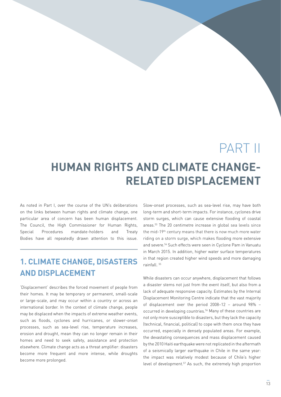## PART II

## **Human rights and climate changerelated displacement**

As noted in Part I, over the course of the UN's deliberations on the links between human rights and climate change, one particular area of concern has been human displacement. The Council, the High Commissioner for Human Rights, Special Procedures mandate-holders and Treaty Bodies have all repeatedly drawn attention to this issue.

### **1. Climate change, disasters and displacement**

'Displacement' describes the forced movement of people from their homes. It may be temporary or permanent, small-scale or large-scale, and may occur within a country or across an international border. In the context of climate change, people may be displaced when the impacts of extreme weather events, such as floods, cyclones and hurricanes, or slower-onset processes, such as sea-level rise, temperature increases, erosion and drought, mean they can no longer remain in their homes and need to seek safety, assistance and protection elsewhere. Climate change acts as a threat amplifier: disasters become more frequent and more intense, while droughts become more prolonged.

Slow-onset processes, such as sea-level rise, may have both long-term and short-term impacts. For instance, cyclones drive storm surges, which can cause extensive flooding of coastal areas.53 The 20 centimetre increase in global sea levels since the mid-19th century means that there is now much more water riding on a storm surge, which makes flooding more extensive and severe.54 Such effects were seen in Cyclone Pam in Vanuatu in March 2015. In addition, higher water surface temperatures in that region created higher wind speeds and more damaging rainfall. 55

While disasters can occur anywhere, displacement that follows a disaster stems not just from the event itself, but also from a lack of adequate responsive capacity. Estimates by the Internal Displacement Monitoring Centre indicate that the vast majority of displacement over the period 2008–12 – around 98% – occurred in developing countries.<sup>56</sup> Many of these countries are not only more susceptible to disasters, but they lack the capacity (technical, financial, political) to cope with them once they have occurred, especially in densely populated areas. For example, the devastating consequences and mass displacement caused by the 2010 Haiti earthquake were not replicated in the aftermath of a seismically larger earthquake in Chile in the same year: the impact was relatively modest because of Chile's higher level of development.57 As such, the extremely high proportion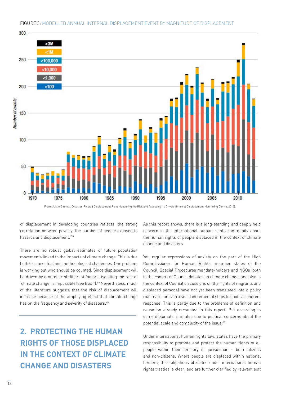

#### Figure 3: Modelled Annual Internal Displacement Event by Magnitude of Displacement

From: Justin Ginnetti, Disaster-Related Displacement Risk: Measuring the Risk and Assessing its Drivers (Internal Displacement Monitoring Centre, 2015).

of displacement in developing countries reflects 'the strong correlation between poverty, the number of people exposed to hazards and displacement.'58

There are no robust global estimates of future population movements linked to the impacts of climate change. This is due both to conceptual and methodological challenges. One problem is working out who should be counted. Since displacement will be driven by a number of different factors, isolating the role of 'climate change' is impossible (see Box 1).59 Nevertheless, much of the literature suggests that the risk of displacement will increase because of the amplifying effect that climate change has on the frequency and severity of disasters.<sup>60</sup>

### **2. Protecting the human rights of those displaced in the context of climate change and disasters**

As this report shows, there is a long-standing and deeply held concern in the international human rights community about the human rights of people displaced in the context of climate change and disasters.

Yet, regular expressions of anxiety on the part of the High Commissioner for Human Rights, member states of the Council, Special Procedures mandate-holders and NGOs (both in the context of Council debates on climate change, and also in the context of Council discussions on the rights of migrants and displaced persons) have not yet been translated into a policy roadmap – or even a set of incremental steps to guide a coherent response. This is partly due to the problems of definition and causation already recounted in this report. But according to some diplomats, it is also due to political concerns about the potential scale and complexity of the issue.<sup>61</sup>

Under international human rights law, states have the primary responsibility to promote and protect the human rights of all people within their territory or jurisdiction – both citizens and non-citizens. Where people are displaced within national borders, the obligations of states under international human rights treaties is clear, and are further clarified by relevant soft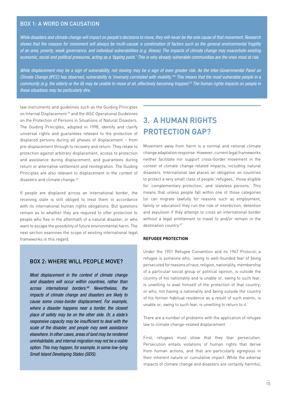### BOX 1: A word on causation

*While disasters and climate change will impact on people's decisions to move, they will never be the sole cause of that movement. Research shows that the reasons for movement will always be multi-causal: a combination of factors such as the general environmental fragility of an area, poverty, weak governance, and individual vulnerabilities (e.g. illness). The impacts of climate change may exacerbate existing economic, social and political pressures, acting as a 'tipping point.' This is why already vulnerable communities are the ones most at risk.* 

*While displacement may be a sign of vulnerability, not moving may be a sign of even greater risk. As the Inter-Governmental Panel on Climate Change (IPCC) has observed, vulnerability is 'inversely correlated with mobility.'62 This means that the most vulnerable people in a community (e.g. the elderly or the ill) may be unable to move at all, effectively becoming trapped.63 The human rights impacts on people in these situations may be particularly dire.* 

law instruments and guidelines such as the Guiding Principles on Internal Displacement<sup>64</sup> and the IASC Operational Guidelines on the Protection of Persons in Situations of Natural Disasters. The Guiding Principles, adopted in 1998, identify and clarify universal rights and guarantees relevant to the protection of displaced persons during all phases of displacement – from pre-displacement through to recovery and return. They relate to protection against arbitrary displacement, access to protection and assistance during displacement, and guarantees during return or alternative settlement and reintegration. The Guiding Principles are also relevant to displacement in the context of disasters and climate change.<sup>65</sup>

If people are displaced across an international border, the receiving state is still obliged to treat them in accordance with its international human rights obligations. But questions remain as to whether they are required to offer protection to people who flee in the aftermath of a natural disaster, or who want to escape the possibility of future environmental harm. The next section examines the scope of existing international legal frameworks in this regard.

### BOX 2: Where will people move?

*Most displacement in the context of climate change and disasters will occur within countries, rather than across international borders.66 Nevertheless, the impacts of climate change and disasters are likely to cause some cross-border displacement. For example, where a disaster happens near a border, the closest place of safety may be on the other side. Or, a state's*  responsive capacity may be insufficient to deal with the *scale of the disaster, and people may seek assistance elsewhere. In other cases, areas of land may be rendered uninhabitable, and internal migration may not be a viable option. This may happen, for example, in some low-lying Small Island Developing States (SIDS).*

### **3. A human rights protection gap?**

Movement away from harm is a normal and rational climate change adaptation response. However, current legal frameworks neither facilitate nor support cross-border movement in the context of climate change-related impacts, including natural disasters. International law places an obligation on countries to protect a very small class of people:'refugees,' those eligible for 'complementary protection,' and 'stateless persons.' This means that unless people fall within one of those categories (or can migrate lawfully for reasons such as employment, family or education) they run the risk of interdiction, detention and expulsion if they attempt to cross an international border without a legal entitlement to travel to and/or remain in the destination country.<sup>67</sup>

#### <span id="page-16-0"></span>**Refugee Protection**

Under the 1951 Refugee Convention and its 1967 Protocol, a refugee is someone who, 'owing to well-founded fear of being persecuted for reasons of race, religion, nationality, membership of a particular social group or political opinion, is outside the country of his nationality and is unable or, owing to such fear, is unwilling to avail himself of the protection of that country; or who, not having a nationality and being outside the country of his former habitual residence as a result of such events, is unable or, owing to such fear, is unwilling to return to it.'

There are a number of problems with the application of refugee law to climate change-related displacement.

First, refugees must show that they fear persecution. Persecution entails violations of human rights that derive from human actions, and that are particularly egregious in their inherent nature or cumulative impact. While the adverse impacts of climate change and disasters are certainly harmful,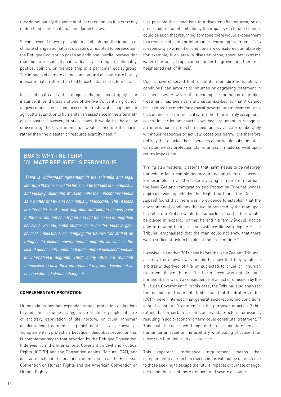they do not satisfy the concept of 'persecution' as it is currently understood in international and domestic law.

Second, even if it were possible to establish that the impacts of climate change and natural disasters amounted to persecution, the Refugee Convention poses an additional hurdle: persecution must be for reasons of an individual's race, religion, nationality, political opinion, or membership of a particular social group. The impacts of climate change and natural disasters are largely indiscriminate, rather than tied to particular characteristics.

In exceptional cases, the refugee definition might apply – for instance, if, on the basis of one of the five Convention grounds, a government restricted access to fresh water supplies or agricultural land, or to humanitarian assistance in the aftermath of a disaster. However, in such cases, it would be the act or omission by the government that would constitute the harm, rather than the disaster or resource scarcity itself.<sup>68</sup>

### BOX 3: Why the term 'climate refugee' is erroneous

'There is widespread agreement in the scientific and legal literature that the use of the term climate refugee is scientifically *and legally problematic. McAdam calls the concept 'erroneous as a matter of law and conceptually inaccurate.' The reasons are threefold. First, most migration and climate studies point to the environment as a trigger and not the cause of migration decisions. Second, some studies focus on the negative geopolitical implications of changing the Geneva Convention on refugees to include environmental migrants as well as the lack of global instruments to handle internal displaced peoples or international migrants. Third, many SIDS are reluctant themselves to have their international migrants designated as being victims of climate change.*' *69*

#### **Complementary protection**

Human rights law has expanded states' protection obligations beyond the 'refugee' category to include people at risk of arbitrary deprivation of life, torture, or cruel, inhuman or degrading treatment or punishment. This is known as 'complementary protection' because it describes protection that is complementary to that provided by the Refugee Convention. It derives from the International Covenant on Civil and Political Rights (ICCPR) and the Convention against Torture (CAT), and is also reflected in regional instruments, such as the European Convention on Human Rights and the American Convention on Human Rights.

It is possible that conditions in a disaster-affected area, or an area rendered uninhabitable by the impacts of climate change, could be such that returning someone there would expose them to a real risk of death or inhuman or degrading treatment. This is especially so when the conditions are considered cumulatively (for example, if an area is disaster-prone, there are extreme water shortages, crops can no longer be grown, and there is a heightened risk of illness).

Courts have observed that 'destitution' or 'dire humanitarian conditions' can amount to inhuman or degrading treatment in certain cases. However, the meaning of 'inhuman or degrading treatment' has been carefully circumscribed so that it cannot be used as a remedy for general poverty, unemployment, or a lack of resources or medical care, other than in truly exceptional cases. In particular, courts have been reluctant to recognise an international protection need unless a state deliberately withholds resources or actively occasions harm. It is therefore unlikely that a lack of basic services alone would substantiate a complementary protection claim, unless it made survival upon return impossible.

Timing also matters: it seems that harm needs to be relatively immediate for a complementary protection claim to succeed. For example, in a 2014 case involving a man from Kiribati, the New Zealand Immigration and Protection Tribunal (whose approach was upheld by the High Court and the Court of Appeal) found that there was no evidence to establish that the environmental conditions that would be faced by the man upon his return to Kiribati would be 'so parlous that his life [would] be placed in jeopardy, or that he and his family [would] not be able to resume their prior subsistence life with dignity.<sup>'70</sup> The Tribunal emphasised that the man could not show that there was a sufficient risk to his life 'at the present time.'71

<span id="page-17-0"></span>Likewise, in another 2014 case before the New Zealand Tribunal, a family from Tuvalu was unable to show that they would be arbitrarily deprived of life or subjected to cruel or inhuman treatment if sent home. The harm faced was not dire and imminent, nor was it a consequence of an act or omission by the Tuvaluan Government.72 In this case, the Tribunal also analysed the meaning of 'treatment.' It observed that the drafters of the ICCPR never intended that general socio-economic conditions should constitute 'treatment' for the purposes of article 7, but rather that in certain circumstances, state acts or omissions resulting in socio-economic harm could constitute 'treatment.'73 This could include such things as the discriminatory denial of humanitarian relief or the arbitrary withholding of consent for necessary humanitarian assistance.74

This apparent 'imminence' requirement means that complementary protection mechanisms will not be of much use to those seeking to escape the future impacts of climate change, including the risk of more frequent and severe disasters.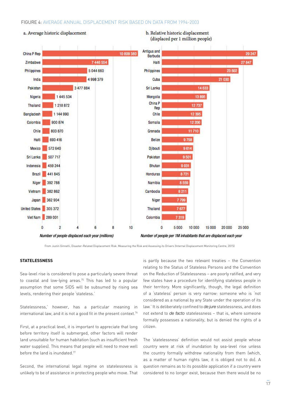#### Figure 4: average annual displacement risk based on data from 1994-2003



From Justin Ginnetti, Disaster-Related Displacement Risk: Measuring the Risk and Assessing its Drivers (Internal Displacement Monitoring Centre, 2015)

### **Statelessness**

Sea-level rise is considered to pose a particularly severe threat to coastal and low-lying areas.<sup>75</sup> This has led to a popular assumption that some SIDS will be subsumed by rising sea levels, rendering their people 'stateless.'

Statelessness,' however, has a particular meaning in international law, and it is not a good fit in the present context.<sup>76</sup>

First, at a practical level, it is important to appreciate that long before territory itself is submerged, other factors will render land unsuitable for human habitation (such as insufficient fresh water supplies). This means that people will need to move well before the land is inundated.<sup>77</sup>

Second, the international legal regime on statelessness is unlikely to be of assistance in protecting people who move. That

is partly because the two relevant treaties – the Convention relating to the Status of Stateless Persons and the Convention on the Reduction of Statelessness – are poorly ratified, and very few states have a procedure for identifying stateless people in their territory. More significantly, though, the legal definition of a 'stateless' person is very narrow: someone who is 'not considered as a national by any State under the operation of its law.' It is deliberately confined to de jure statelessness, and does not extend to de facto statelessness – that is, where someone formally possesses a nationality, but is denied the rights of a citizen.

The 'statelessness' definition would not assist people whose country were at risk of inundation by sea-level rise unless the country formally withdrew nationality from them (which, as a matter of human rights law, it is obliged not to do). A question remains as to its possible application if a country were considered to no longer exist, because then there would be no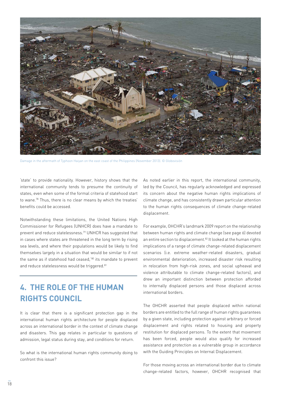

Damage in the aftermath of Typhoon Haiyan on the east coast of the Philippines (November 2013). © Globovisión

'state' to provide nationality. However, history shows that the international community tends to presume the continuity of states, even when some of the formal criteria of statehood start to wane.78 Thus, there is no clear means by which the treaties' benefits could be accessed.

Notwithstanding these limitations, the United Nations High Commissioner for Refugees (UNHCR) does have a mandate to prevent and reduce statelessness.79 UNHCR has suggested that in cases where states are threatened in the long term by rising sea levels, and where their populations would be likely to find themselves largely in a situation that would be similar to if not the same as if statehood had ceased,'80 its mandate to prevent and reduce statelessness would be triggered.<sup>81</sup>

### **4. The role of the Human Rights Council**

It is clear that there is a significant protection gap in the international human rights architecture for people displaced across an international border in the context of climate change and disasters. This gap relates in particular to questions of admission, legal status during stay, and conditions for return.

So what is the international human rights community doing to confront this issue?

As noted earlier in this report, the international community, led by the Council, has regularly acknowledged and expressed its concern about the negative human rights implications of climate change, and has consistently drawn particular attention to the human rights consequences of climate change-related displacement.

For example, OHCHR's landmark 2009 report on the relationship between human rights and climate change (see page 6) devoted an entire section to displacement.<sup>82</sup> It looked at the human rights implications of a range of climate change-related displacement scenarios (i.e. extreme weather-related disasters, gradual environmental deterioration, increased disaster risk resulting in relocation from high-risk zones, and social upheaval and violence attributable to climate change-related factors), and drew an important distinction between protection afforded to internally displaced persons and those displaced across international borders.

The OHCHR asserted that people displaced within national borders are entitled to the full range of human rights guarantees by a given state, including protection against arbitrary or forced displacement and rights related to housing and property restitution for displaced persons. To the extent that movement has been forced, people would also qualify for increased assistance and protection as a vulnerable group in accordance with the Guiding Principles on Internal Displacement.

For those moving across an international border due to climate change-related factors, however, OHCHR recognised that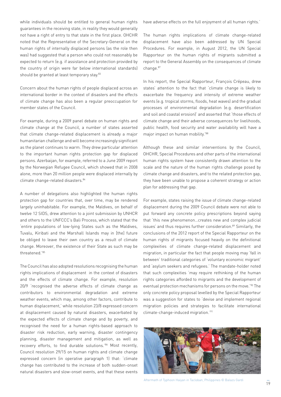while individuals should be entitled to general human rights guarantees in the receiving state, in reality they would generally not have a right of entry to that state in the first place. OHCHR noted that the Representative of the Secretary-General on the human rights of internally displaced persons (as the role then was) had suggested that a person who could not reasonably be expected to return (e.g. if assistance and protection provided by the country of origin were far below international standards) should be granted at least temporary stay.83

Concern about the human rights of people displaced across an international border in the context of disasters and the effects of climate change has also been a regular preoccupation for member states of the Council.

For example, during a 2009 panel debate on human rights and climate change at the Council, a number of states asserted that climate change-related displacement is already a major humanitarian challenge and will become increasingly significant as the planet continues to warm. They drew particular attention to the important human rights protection gap for displaced persons. Azerbaijan, for example, referred to a June 2009 report by the Norwegian Refugee Council, which showed that in 2008 alone, more than 20 million people were displaced internally by climate change-related disasters.<sup>84</sup>

A number of delegations also highlighted the human rights protection gap for countries that, over time, may be rendered largely uninhabitable. For example, the Maldives, on behalf of twelve 12 SIDS, drew attention to a joint submission by UNHCR and others to the UNFCCC's Bali Process, which stated that the 'entire populations of low-lying States such as the Maldives, Tuvalu, Kiribati and the Marshall Islands may in [the] future be obliged to leave their own country as a result of climate change. Moreover, the existence of their State as such may be threatened.'85

The Council has also adopted resolutions recognising the human rights implications of displacement in the context of disasters and the effects of climate change. For example, resolution 20/9 'recognised the adverse effects of climate change as contributors to environmental degradation and extreme weather events, which may, among other factors, contribute to human displacement,' while resolution 23/8 expressed concern at displacement caused by natural disasters, exacerbated by the expected effects of climate change and by poverty, and recognised the need for a human rights-based approach to disaster risk reduction, early warning, disaster contingency planning, disaster management and mitigation, as well as recovery efforts, to find durable solutions.'86 Most recently, Council resolution 29/15 on human rights and climate change expressed concern (in operative paragraph 1) that: 'climate change has contributed to the increase of both sudden-onset natural disasters and slow-onset events, and that these events

have adverse effects on the full enjoyment of all human rights.'

The human rights implications of climate change-related displacement have also been addressed by UN Special Procedures. For example, in August 2012, the UN Special Rapporteur on the human rights of migrants submitted a report to the General Assembly on the consequences of climate change.87

In his report, the Special Rapporteur, François Crépeau, drew states' attention to the fact that 'climate change is likely to exacerbate the frequency and intensity of extreme weather events (e.g. tropical storms, floods, heat waves) and the gradual processes of environmental degradation (e.g. desertification and soil and coastal erosion)' and asserted that 'those effects of climate change and their adverse consequences for livelihoods, public health, food security and water availability will have a major impact on human mobility.'88

Although these and similar interventions by the Council, OHCHR, Special Procedures and other parts of the international human rights system have consistently drawn attention to the scale and the nature of the human rights challenge posed by climate change and disasters, and to the related protection gap, they have been unable to propose a coherent strategy or action plan for addressing that gap.

For example, states raising the issue of climate change-related displacement during the 2009 Council debate were not able to put forward any concrete policy prescriptions beyond saying that 'this new phenomenon…creates new and complex judicial issues' and thus requires further consideration.<sup>89</sup> Similarly, the conclusions of the 2012 report of the Special Rapporteur on the human rights of migrants focused heavily on the definitional complexities of climate change-related displacement and migration, in particular the fact that people moving may 'fall in between' traditional categories of 'voluntary economic migrant' and 'asylum seekers and refugees.' The mandate-holder noted that such complexities 'may require rethinking of the human rights categories afforded to migrants and the development of eventual protection mechanisms for persons on the move.<sup>'90</sup> The only concrete policy proposal levelled by the Special Rapporteur was a suggestion for states to 'devise and implement regional migration policies and strategies to facilitate international climate-change-induced migration.'91



Aftermath of Typhoon Haiyan in Tacloban, Philippines © Balazs Gardi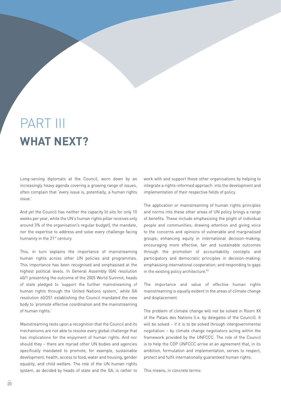# **what next?** PART III

Long-serving diplomats at the Council, worn down by an increasingly heavy agenda covering a growing range of issues, often complain that 'every issue is, potentially, a human rights issue.'

And yet the Council has neither the capacity (it sits for only 10 weeks per year, while the UN's human rights pillar receives only around 3% of the organisation's regular budget), the mandate, nor the expertise to address and solve every challenge facing humanity in the 21<sup>st</sup> century.

This, in turn explains the importance of mainstreaming human rights across other UN policies and programmes. This importance has been recognised and emphasised at the highest political levels. In General Assembly (GA) resolution 60/1 presenting the outcome of the 2005 World Summit, heads of state pledged to 'support the further mainstreaming of human rights through the United Nations system,' while GA resolution 60/251 establishing the Council mandated the new body to 'promote effective coordination and the mainstreaming of human rights.'

Mainstreaming rests upon a recognition that the Council and its mechanisms are not able to resolve every global challenge that has implications for the enjoyment of human rights. And nor should they – there are myriad other UN bodies and agencies specifically mandated to promote, for example, sustainable development, health, access to food, water and housing, gender equality, and child welfare. The role of the UN human rights system, as decided by heads of state and the GA, is rather to work with and support these other organisations by helping to integrate a rights-informed approach into the development and implementation of their respective fields of policy.

The application or mainstreaming of human rights principles and norms into these other areas of UN policy brings a range of benefits. These include emphasising the plight of individual people and communities; drawing attention and giving voice to the concerns and opinions of vulnerable and marginalised groups; enhancing equity in international decision-making; encouraging more effective, fair and sustainable outcomes through the promotion of accountability concepts and participatory and democratic principles in decision-making; emphasising international cooperation; and responding to gaps in the existing policy architecture.<sup>92</sup>

The importance and value of effective human rights mainstreaming is equally evident in the areas of climate change and displacement.

The problem of climate change will not be solved in Room XX of the Palais des Nations (i.e. by delegates of the Council). It will be solved – if it is to be solved through intergovernmental negotiation – by climate change negotiators acting within the framework provided by the UNFCCC. The role of the Council is to help the COP UNFCCC arrive at an agreement that, in its ambition, formulation and implementation, serves to respect, protect and fulfil internationally guaranteed human rights.

This means, in concrete terms: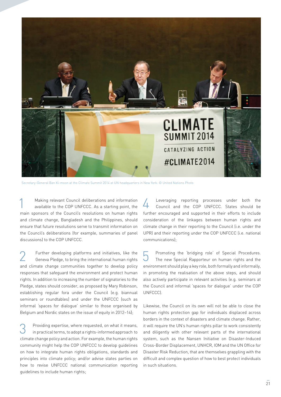

Secretary-General Ban Ki-moon at the Climate Summit 2014 at UN headquarters in New York. © United Nations Photo

1 **Making relevant Council deliberations and information**<br>available to the COP UNFCCC. As a starting point, the main sponsors of the Council's resolutions on human rights and climate change, Bangladesh and the Philippines, should ensure that future resolutions serve to transmit information on the Council's deliberations (for example, summaries of panel discussions) to the COP UNFCCC.

Further developing platforms and initiatives, like the Geneva Pledge, to bring the international human rights and climate change communities together to develop policy responses that safeguard the environment and protect human rights. In addition to increasing the number of signatories to the Pledge, states should consider, as proposed by Mary Robinson, establishing regular fora under the Council (e.g. biannual seminars or roundtables) and under the UNFCCC (such as informal 'spaces for dialogue' similar to those organised by Belgium and Nordic states on the issue of equity in 2012–14);

3 Providing expertise, where requested, on what it means, in practical terms, to adopt a rights-informed approach to climate change policy and action. For example, the human rights community might help the COP UNFCCC to develop guidelines on how to integrate human rights obligations, standards and principles into climate policy; and/or advise states parties on how to revise UNFCCC national communication reporting guidelines to include human rights;

4 Leveraging reporting processes under both the Council and the COP UNFCCC. States should be further encouraged and supported in their efforts to include consideration of the linkages between human rights and climate change in their reporting to the Council (i.e. under the UPR) and their reporting under the COP UNFCCC (i.e. national communications);

5 Promoting the 'bridging role' of Special Procedures. The new Special Rapporteur on human rights and the environment should play a key role, both formally and informally, in promoting the realisation of the above steps, and should also actively participate in relevant activities (e.g. seminars at the Council and informal 'spaces for dialogue' under the COP UNFCCC).

Likewise, the Council on its own will not be able to close the human rights protection gap for individuals displaced across borders in the context of disasters and climate change. Rather, it will require the UN's human rights pillar to work consistently and diligently with other relevant parts of the international system, such as the Nansen Initiative on Disaster-Induced Cross-Border Displacement, UNHCR, IOM and the UN Office for Disaster Risk Reduction, that are themselves grappling with the difficult and complex question of how to best protect individuals in such situations.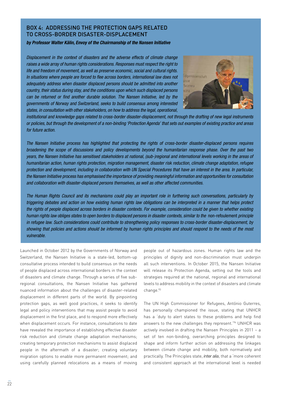### Box 4: Addressing the protection gaps related to cross-border disaster-displacement

#### *by Professor Walter Kälin, Envoy of the Chairmanship of the Nansen Initiative*

*Displacement in the context of disasters and the adverse effects of climate change raises a wide array of human rights considerations. Responses must respect the right to life and freedom of movement, as well as preserve economic, social and cultural rights.*  In situations where people are forced to flee across borders, international law does not *adequately address when disaster displaced persons should be admitted into another country, their status during stay, and the conditions upon which such displaced persons*  can be returned or find another durable solution. The Nansen Initiative, led by the *governments of Norway and Switzerland, seeks to build consensus among interested states, in consultation with other stakeholders, on how to address the legal, operational,* 



*institutional and knowledge gaps related to cross-border disaster-displacement, not through the drafting of new legal instruments or policies, but through the development of a non-binding 'Protection Agenda' that sets out examples of existing practice and areas for future action.*

*The Nansen Initiative process has highlighted that protecting the rights of cross-border disaster-displaced persons requires broadening the scope of discussions and policy developments beyond the humanitarian response phase. Over the past two years, the Nansen Initiative has sensitised stakeholders at national, (sub-)regional and international levels working in the areas of humanitarian action, human rights protection, migration management, disaster risk reduction, climate change adaptation, refugee protection and development, including in collaboration with UN Special Procedures that have an interest in the area. In particular, the Nansen Initiative process has emphasised the importance of providing meaningful information and opportunities for consultation and collaboration with disaster-displaced persons themselves, as well as other affected communities.*

*The Human Rights Council and its mechanisms could play an important role in furthering such conversations, particularly by triggering debates and action on how existing human rights law obligations can be interpreted in a manner that helps protect the rights of people displaced across borders in disaster contexts. For example, consideration could be given to whether existing human rights law obliges states to open borders to displaced persons in disaster contexts, similar to the* non-refoulement *principle in refugee law. Such considerations could contribute to strengthening policy responses to cross-border disaster-displacement, by showing that policies and actions should be informed by human rights principles and should respond to the needs of the most vulnerable.* 

Launched in October 2012 by the Governments of Norway and Switzerland, the Nansen Initiative is a state-led, bottom-up consultative process intended to build consensus on the needs of people displaced across international borders in the context of disasters and climate change. Through a series of five subregional consultations, the Nansen Initiative has gathered nuanced information about the challenges of disaster-related displacement in different parts of the world. By pinpointing protection gaps, as well good practices, it seeks to identify legal and policy interventions that may assist people to avoid displacement in the first place, and to respond more effectively when displacement occurs. For instance, consultations to date have revealed the importance of establishing effective disaster risk reduction and climate change adaptation mechanisms; creating temporary protection mechanisms to assist displaced people in the aftermath of a disaster; creating voluntary migration options to enable more permanent movement; and using carefully planned relocations as a means of moving

people out of hazardous zones. Human rights law and the principles of dignity and non-discrimination must underpin all such interventions. In October 2015, the Nansen Initiative will release its Protection Agenda, setting out the tools and strategies required at the national, regional and international levels to address mobility in the context of disasters and climate change.93

The UN High Commissioner for Refugees, António Guterres, has personally championed the issue, stating that UNHCR has a 'duty to alert states to these problems and help find answers to the new challenges they represent.'94 UNHCR was actively involved in drafting the Nansen Principles in 2011 – a set of ten non-binding, overarching principles designed to shape and inform further action on addressing the linkages between climate change and mobility, both normatively and practically. The Principles state, inter alia, that a 'more coherent and consistent approach at the international level is needed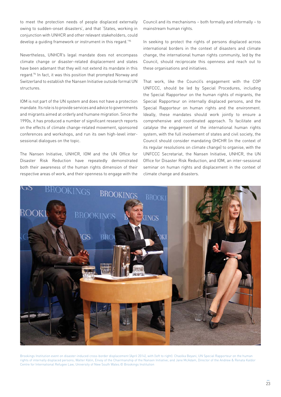to meet the protection needs of people displaced externally owing to sudden-onset disasters', and that 'States, working in conjunction with UNHCR and other relevant stakeholders, could develop a guiding framework or instrument in this regard.'95

Nevertheless, UNHCR's legal mandate does not encompass climate change or disaster-related displacement and states have been adamant that they will not extend its mandate in this regard.<sup>96</sup> In fact, it was this position that prompted Norway and Switzerland to establish the Nansen Initiative outside formal UN structures.

IOM is not part of the UN system and does not have a protection mandate. Its role is to provide services and advice to governments and migrants aimed at orderly and humane migration. Since the 1990s, it has produced a number of significant research reports on the effects of climate change-related movement, sponsored conferences and workshops, and run its own high-level intersessional dialogues on the topic.

The Nansen Initiative, UNHCR, IOM and the UN Office for Disaster Risk Reduction have repeatedly demonstrated both their awareness of the human rights dimension of their respective areas of work, and their openness to engage with the Council and its mechanisms – both formally and informally – to mainstream human rights.

In seeking to protect the rights of persons displaced across international borders in the context of disasters and climate change, the international human rights community, led by the Council, should reciprocate this openness and reach out to these organisations and initiatives.

That work, like the Council's engagement with the COP UNFCCC, should be led by Special Procedures, including the Special Rapporteur on the human rights of migrants, the Special Rapporteur on internally displaced persons, and the Special Rapporteur on human rights and the environment. Ideally, these mandates should work jointly to ensure a comprehensive and coordinated approach. To facilitate and catalyse the engagement of the international human rights system, with the full involvement of states and civil society, the Council should consider mandating OHCHR (in the context of its regular resolutions on climate change) to organise, with the UNFCCC Secretariat, the Nansen Initiative, UNHCR, the UN Office for Disaster Risk Reduction, and IOM, an inter-sessional seminar on human rights and displacement in the context of climate change and disasters.



Brookings Institution event on disaster-induced cross-border displacement (April 2014), with (left to right): Chaolka Beyani, UN Special Rapporteur on the human rights of internally displaced persons; Walter Kälin, Envoy of the Chairmanship of the Nansen Initiative; and Jane McAdam, Director of the Andrew & Renata Kaldor Centre for International Refugee Law, University of New South Wales.© Brookings Institution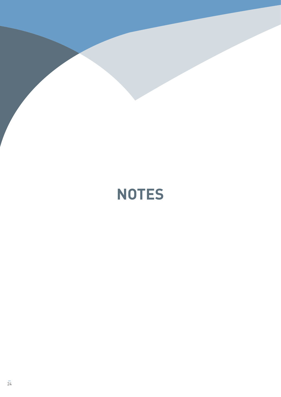

# **notes**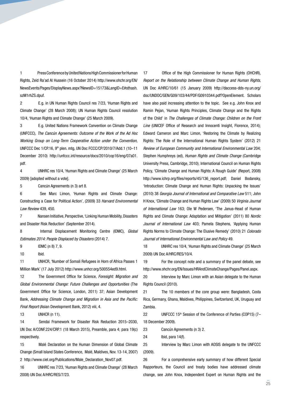1 Press Conference by United Nations High Commissioner for Human Rights, Zeid Ra'ad Al Hussein (16 October 2014) [http://www.ohchr.org/EN/](http://www.ohchr.org/EN/NewsEvents/Pages/DisplayNews.aspx?NewsID=15173&LangID=E#sthash.szM1rhZS.dpuf) [NewsEvents/Pages/DisplayNews.aspx?NewsID=15173&LangID=E#sthash.](http://www.ohchr.org/EN/NewsEvents/Pages/DisplayNews.aspx?NewsID=15173&LangID=E#sthash.szM1rhZS.dpuf) [szM1rhZS.dpuf.](http://www.ohchr.org/EN/NewsEvents/Pages/DisplayNews.aspx?NewsID=15173&LangID=E#sthash.szM1rhZS.dpuf)

2 E.g. in UN Human Rights Council res 7/23, 'Human Rights and Climate Change' (28 March 2008); UN Human Rights Council resolution 10/4, 'Human Rights and Climate Change' (25 March 2009).

3 E.g. United Nations Framework Convention on Climate Change (UNFCCC), *The Cancún Agreements: Outcome of the Work of the Ad Hoc Working Group on Long-Term Cooperative Action under the Convention,* UNFCCC Dec 1/CP.16, 9th plen. mtg, UN Doc FCCC/CP/2010/7/Add.1 (10–11 December 2010) [http://unfccc.int/resource/docs/2010/cop16/eng/07a01.](http://unfccc.int/resource/docs/2010/cop16/eng/07a01.pdf) [pdf](http://unfccc.int/resource/docs/2010/cop16/eng/07a01.pdf).

4 UNHRC res 10/4, 'Human Rights and Climate Change' (25 March 2009) [adopted without a vote].

5 Cancún Agreements (n [3](#page-3-0)) art 8.

6 See Marc Limon, 'Human Rights and Climate Change: Constructing a Case for Political Action', (2009) 33 *Harvard Environmental Law Review* 439, 450.

7 Nansen Initiative, Perspective, 'Linking Human Mobility, Disasters and Disaster Risk Reduction' (September 2014).

8 Internal Displacement Monitoring Centre (IDMC), *Global Estimates 2014: People Displaced by Disasters* (2014) 7.

9 IDMC (n [8\)](#page-4-0) 7, 9.

10 Ibid.

11 UNHCR, 'Number of Somali Refugees in Horn of Africa Passes 1 Million Mark' (17 July 2012) [http://www.unhcr.org/500554ed9.html.](http://www.unhcr.org/500554ed9.html)

12 The Government Office for Science, *Foresight: Migration and Global Environmental Change: Future Challenges and Opportunities* (The Government Office for Science, London, 2011) 37; Asian Development Bank, Addressing Climate Change and Migration in Asia and the Pacific: *Final Report* (Asian Development Bank, 2012) viii, 4.

13 UNHCR (n [11\)](#page-4-1).

14 Sendai Framework for Disaster Risk Reduction 2015–2030, UN Doc A/CONF.224/CRP.1 (18 March 2015), Preamble, para 4; para 19(c) respectively.

15 Malé Declaration on the Human Dimension of Global Climate Change (Small Island States Conference, Malé, Maldives, Nov. 13-14, 2007) 2 [http://www.ciel.org/Publications/Male\\_Declaration\\_Nov07.pdf](http://www.ciel.org/Publications/Male_Declaration_Nov07.pdf).

16 UNHRC res 7/23, 'Human Rights and Climate Change' (28 March 2008) UN Doc A/HRC/RES/7/23.

17 Office of the High Commissioner for Human Rights (OHCHR), *Report on the Relationship between Climate Change and Human Rights*, UN Doc A/HRC/10/61 (15 January 2009) [http://daccess-dds-ny.un.org/](http://daccess-dds-ny.un.org/doc/UNDOC/GEN/G09/103/44/PDF/G0910344.pdf?OpenElement) [doc/UNDOC/GEN/G09/103/44/PDF/G0910344.pdf?OpenElement](http://daccess-dds-ny.un.org/doc/UNDOC/GEN/G09/103/44/PDF/G0910344.pdf?OpenElement). Scholars have also paid increasing attention to the topic. See e.g. John Knox and Ramin Pejan, 'Human Rights Principles, Climate Change and the Rights of the Child' in *The Challenges of Climate Change: Children on the Front Line* (UNICEF Office of Research and Innocenti Insight, Florence, 2014); Edward Cameron and Marc Limon, 'Restoring the Climate by Realizing Rights: The Role of the International Human Rights System' (2012) 21 *Review of European Community and International Environmental Law* 204; Stephen Humphreys (ed), *Human Rights and Climate Change* (Cambridge University Press, Cambridge, 2010); International Council on Human Rights Policy, 'Climate Change and Human Rights: A Rough Guide' (Report, 2008) http://www.ichrp.org/files/reports/45/136\_report.pdf: Daniel Bodansky, 'Introduction: Climate Change and Human Rights: Unpacking the Issues' (2010) 38 *Georgia Journal of International and Comparative Law* 511; John H Knox, 'Climate Change and Human Rights Law' (2009) 50 *Virginia Journal of International Law* 163; Ole W Pedersen, 'The Janus-Head of Human Rights and Climate Change: Adaptation and Mitigation' (2011) 80 *Nordic Journal of International Law* 403; Pamela Stephens, 'Applying Human Rights Norms to Climate Change: The Elusive Remedy' (2010) 21 *Colorado Journal of International Environmental Law and Policy* 49.

18 UNHRC res 10/4, 'Human Rights and Climate Change' (25 March 2009) UN Doc A/HRC/RES/10/4.

19 For the concept note and a summary of the panel debate, see [http://www.ohchr.org/EN/Issues/HRAndClimateChange/Pages/Panel.aspx.](http://www.ohchr.org/EN/Issues/HRAndClimateChange/Pages/Panel.aspx)

20 Interview by Marc Limon with an Asian delegate to the Human Rights Council (2010).

21 The 10 members of the core group were: Bangladesh, Costa Rica, Germany, Ghana, Maldives, Philippines, Switzerland, UK, Uruguay and Zambia.

22 UNFCCC 15<sup>th</sup> Session of the Conference of Parties (COP15) (7– 18 December 2009).

23 Cancún Agreements (n [3\)](#page-3-0) 2.

24 Ibid, para 14(f).

25 Interview by Marc Limon with AOSIS delegate to the UNFCCC (2009).

26 For a comprehensive early summary of how different Special Rapporteurs, the Council and treaty bodies have addressed climate change, see John Knox, Independent Expert on Human Rights and the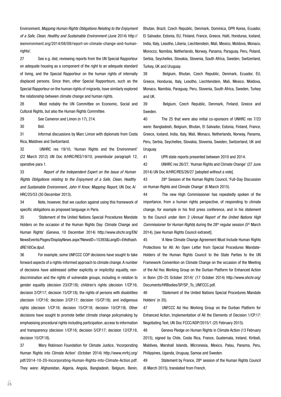Environment, *Mapping Human Rights Obligations Relating to the Enjoyment of a Safe, Clean, Healthy and Sustainable Environment* (June 2014) [http://](http://ieenvironment.org/2014/08/08/report-on-climate-change-and-human-rights/) [ieenvironment.org/2014/08/08/report-on-climate-change-and-human](http://ieenvironment.org/2014/08/08/report-on-climate-change-and-human-rights/)[rights/.](http://ieenvironment.org/2014/08/08/report-on-climate-change-and-human-rights/)

27 See e.g. ibid, reviewing reports from the UN Special Rapporteur on adequate housing as a component of the right to an adequate standard of living, and the Special Rapporteur on the human rights of internally displaced persons. Since then, other Special Rapporteurs, such as the Special Rapporteur on the human rights of migrants, have similarly explored the relationship between climate change and human rights.

28 Most notably the UN Committee on Economic, Social and Cultural Rights, but also the Human Rights Committee.

29 See Cameron and Limon (n 17), 214.

30 Ibid.

31 Informal discussions by Marc Limon with diplomats from Costa Rica, Maldives and Switzerland.

32 UNHRC res 19/10, 'Human Rights and the Environment' (22 March 2012) UN Doc A/HRC/RES/19/10, preambular paragraph 12, operative para 1.

33 *Report of the Independent Expert on the Issue of Human Rights Obligations relating to the Enjoyment of a Safe, Clean, Healthy and Sustainable Environment, John H Knox: Mapping Report*, UN Doc A/ HRC/25/53 (30 December 2013).

34 Note, however, that we caution against using this framework of specific obligations as proposed language in Paris.

35 'Statement of the United Nations Special Procedures Mandate Holders on the occasion of the Human Rights Day: Climate Change and Human Rights' (Geneva, 10 December 2014) [http://www.ohchr.org/EN/](http://www.ohchr.org/EN/NewsEvents/Pages/DisplayNews.aspx?NewsID=15393&LangID=E#sthash.dRE1l0Cw.dpuf) [NewsEvents/Pages/DisplayNews.aspx?NewsID=15393&LangID=E#sthash.](http://www.ohchr.org/EN/NewsEvents/Pages/DisplayNews.aspx?NewsID=15393&LangID=E#sthash.dRE1l0Cw.dpuf) [dRE1l0Cw.dpuf](http://www.ohchr.org/EN/NewsEvents/Pages/DisplayNews.aspx?NewsID=15393&LangID=E#sthash.dRE1l0Cw.dpuf).

36 For example, some UNFCCC COP decisions have sought to take forward aspects of a rights-informed approach to climate change. A number of decisions have addressed (either explicitly or implicitly) equality, nondiscrimination and the rights of vulnerable groups, including in relation to gender equality (decision 23/CP.18); children's rights (decision 1/CP.16; decision 2/CP.17; decision 15/CP.18); the rights of persons with disabilities (decision 1/CP.16; decision 2/CP.17; decision 15/CP.18); and indigenous rights (decision 1/CP.16; decision 15/CP.18; decision 10/CP.19). Other decisions have sought to promote better climate change policymaking by emphasising procedural rights including participation, access to information and transparency (decision 1/CP.16; decision 5/CP.17; decision 12/CP.18, decision 15/CP.18).

37 Mary Robinson Foundation for Climate Justice, 'Incorporating Human Rights into Climate Action' (October 2014) http://www.mrfcj.org/ pdf/2014-10-20-Incorporating-Human-Rights-into-Climate-Action.pdf. They were: Afghanistan, Algeria, Angola, Bangladesh, Belgium, Benin,

Bhutan, Brazil, Czech Republic, Denmark, Dominica, DPR Korea, Ecuador, El Salvador, Estonia, EU, Finland, France, Greece, Haiti, Honduras, Iceland, India, Italy, Lesotho, Liberia, Liechtenstein, Mali, Mexico, Moldova, Monaco, Morocco, Namibia, Netherlands, Norway, Panama, Paraguay, Peru, Poland, Serbia, Seychelles, Slovakia, Slovenia, South Africa, Sweden, Switzerland, Turkey, UK and Uruguay.

38 Belgium, Bhutan, Czech Republic, Denmark, Ecuador, EU, Greece, Honduras, Italy, Lesotho, Liechtenstein, Mali, Mexico, Moldova, Monaco, Namibia, Paraguay, Peru, Slovenia, South Africa, Sweden, Turkey and UK.

39 Belgium, Czech Republic, Denmark, Finland, Greece and Sweden.

40 The 25 that were also initial co-sponsors of UNHRC res 7/23 were: Bangladesh, Belgium, Bhutan, El Salvador, Estonia, Finland, France, Greece, Iceland, India, Italy, Mali, Monaco, Netherlands, Norway, Panama, Peru, Serbia, Seychelles, Slovakia, Slovenia, Sweden, Switzerland, UK and Uruguay.

41 UPR state reports presented between 2010 and 2014.

42 UNHRC res 26/27, 'Human Rights and Climate Change' (27 June 2014) UN Doc A/HRC/RES/26/27 [adopted without a vote].

43 28th Session of the Human Rights Council, 'Full-Day Discussion on Human Rights and Climate Change' (6 March 2015).

44 The new High Commissioner has repeatedly spoken of the importance, from a human rights perspective, of responding to climate change, for example in his first press conference, and in his statement to the Council under item 2 (*Annual Report of the United Nations High Commissioner for Human Rights*) during the 28<sup>th</sup> regular session (5<sup>th</sup> March 2014), [see Human Rights Council extranet].

45 'A New Climate Change Agreement Must Include Human Rights Protections for All: An Open Letter from Special Procedures Mandate-Holders of the Human Rights Council to the State Parties to the UN Framework Convention on Climate Change on the occasion of the Meeting of the Ad Hoc Working Group on the Durban Platform for Enhanced Action in Bonn (20–25 October 2014)' (17 October 2014) [http://www.ohchr.org/](http://www.ohchr.org/Documents/HRBodies/SP/SP_To_UNFCCC.pdf) [Documents/HRBodies/SP/SP\\_To\\_UNFCCC.pdf](http://www.ohchr.org/Documents/HRBodies/SP/SP_To_UNFCCC.pdf).

46 'Statement of the United Nations Special Procedures Mandate Holders' (n 35).

47 UNFCCC Ad Hoc Working Group on the Durban Platform for Enhanced Action, Implementation of All the Elements of Decision 1/CP.17: Negotiating Text, UN Doc FCCC/ADP/2015/1 (25 February 2015).

48 Geneva Pledge on Human Rights in Climate Action (13 February 2015), signed by Chile, Costa Rica, France, Guatemala, Ireland, Kiribati, Maldives, Marshall Islands, Micronesia, Mexico, Palau, Panama, Peru, Philippines, Uganda, Uruguay, Samoa and Sweden.

49 Statement by France, 28<sup>th</sup> session of the Human Rights Council (6 March 2015), translated from French.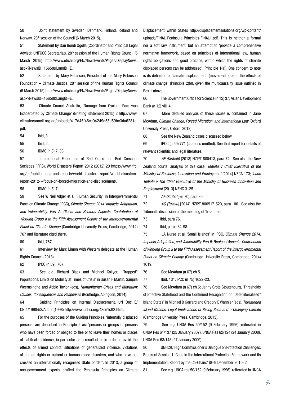50 Joint statement by Sweden, Denmark, Finland, Iceland and Norway, 28<sup>th</sup> session of the Council (6 March 2015).

51 Statement by Dan Bondi Ogolla (Coordinator and Principal Legal Advisor, UNFCCC Secretariat), 28<sup>th</sup> session of the Human Rights Council (6 March 2015) [http://www.ohchr.org/EN/NewsEvents/Pages/DisplayNews.](http://www.ohchr.org/EN/NewsEvents/Pages/DisplayNews.aspx?NewsID=15658&LangID=E) [aspx?NewsID=15658&LangID=E](http://www.ohchr.org/EN/NewsEvents/Pages/DisplayNews.aspx?NewsID=15658&LangID=E).

52 Statement by Mary Robinson, President of the Mary Robinson Foundation – Climate Justice,  $28<sup>th</sup>$  session of the Human Rights Council (6 March 2015) [http://www.ohchr.org/EN/NewsEvents/Pages/DisplayNews.](http://www.ohchr.org/EN/NewsEvents/Pages/DisplayNews.aspx?NewsID=15658&LangID=E) [aspx?NewsID=15658&LangID=E](http://www.ohchr.org/EN/NewsEvents/Pages/DisplayNews.aspx?NewsID=15658&LangID=E).

53 Climate Council Australia, 'Damage from Cyclone Pam was Exacerbated by Climate Change' (Briefing Statement 2015) 2 [http://www.](http://www.climatecouncil.org.au/uploads/417d45f46cc04249d55d59be3da6281c.pdf) [climatecouncil.org.au/uploads/417d45f46cc04249d55d59be3da6281c.](http://www.climatecouncil.org.au/uploads/417d45f46cc04249d55d59be3da6281c.pdf) [pdf](http://www.climatecouncil.org.au/uploads/417d45f46cc04249d55d59be3da6281c.pdf).

54 Ibid, 3.

55 Ibid, 2.

56 IDMC (n [8\)](#page-4-0) 7, 33.

57 International Federation of Red Cross and Red Crescent Societies (IFRC), World Disasters Report 2012 (2012) 20 [https://www.ifrc.](https://www.ifrc.org/en/publications-and-reports/world-disasters-report/world-disasters-report-2012---focus-on-forced-migration-and-displacement/) [org/en/publications-and-reports/world-disasters-report/world-disasters](https://www.ifrc.org/en/publications-and-reports/world-disasters-report/world-disasters-report-2012---focus-on-forced-migration-and-displacement/)[report-2012---focus-on-forced-migration-and-displacement/](https://www.ifrc.org/en/publications-and-reports/world-disasters-report/world-disasters-report-2012---focus-on-forced-migration-and-displacement/).

58 IDMC (n [8\)](#page-4-0) 7.

59 See W Neil Adger et al, 'Human Security' in Intergovernmental Panel on Climate Change (IPCC), *Climate Change 2014: Impacts, Adaptation, and Vulnerability. Part A: Global and Sectoral Aspects. Contribution of Working Group II to the Fifth Assessment Report of the Intergovernmental Panel on Climate Change* (Cambridge University Press, Cambridge, 2014) 767 and literature cited there.

60 Ibid, 767.

61 Interview by Marc Limon with Western delegate at the Human Rights Council (2013).

62 IPCC (n 59), 767.

63 See e.g. Richard Black and Michael Collyer, '"Trapped" Populations: Limits on Mobility at Times of Crisis' in Susan F Martin, Sanjula Weerasinghe and Abbie Taylor (eds), *Humanitarian Crises and Migration: Causes, Consequences and Responses* (Routledge, Abingdon, 2014).

64 Guiding Principles on Internal Displacement, UN Doc E/ CN.4/1998/53/Add.2 (1998)<http://www.unhcr.org/43ce1cff2.html>.

65 For the purposes of the Guiding Principles, 'internally displaced persons' are described in Principle 2 as: 'persons or groups of persons who have been forced or obliged to flee or to leave their homes or places of habitual residence, in particular as a result of or in order to avoid the effects of armed conflict, situations of generalized violence, violations of human rights or natural or human-made disasters, and who have not crossed an internationally recognized State border'. In 2013, a group of non-government experts drafted the Peninsula Principles on Climate

Displacement within States [http://displacementsolutions.org/wp-content/](http://displacementsolutions.org/wp-content/uploads/FINAL-Peninsula-Principles-FINAL1.pdf) [uploads/FINAL-Peninsula-Principles-FINAL1.pdf.](http://displacementsolutions.org/wp-content/uploads/FINAL-Peninsula-Principles-FINAL1.pdf) This is neither a formal nor a soft law instrument, but an attempt to 'provide a comprehensive normative framework, based on principles of international law, human rights obligations and good practice, within which the rights of climate displaced persons can be addressed' (Principle 1(a)). One concern to note is its definition of 'climate displacement' (movement 'due to the effects of climate change' (Principle 2(b)), given the multicausality issue outlined in Box 1 above.

66 The Government Office for Science (n [12](#page-4-2)) 37; Asian Development Bank (n [12\)](#page-4-2) viii, 4.

67 More detailed analysis of these issues is contained in Jane McAdam, *Climate Change, Forced Migration, and International Law* (Oxford University Press, Oxford, 2012).

68 See the New Zealand cases discussed below.

69 IPCC (n 59) 771 (citations omitted). See that report for details of relevant scientific and legal literature.

70 *AF (Kiribati)* [2013] NZIPT 800413, para 74. See also the New Zealand courts' analysis of this case: *Teitiota v Chief Executive of the Ministry of Business, Innovation and Employment* [2014] NZCA 173; *Ioane Teitiota v The Chief Executive of the Ministry of Business Innovation and Employment* [2013] NZHC 3125.

71 *AF (Kiribati)* (n [70](#page-17-0)) para 89.

72 *AC (Tuvalu)* [2014] NZIPT 800517-520, para 100. See also the Tribunal's discussion of the meaning of 'treatment'.

73 Ibid, para 76.

74 Ibid, paras 84-98.

75 LA Nurse et al, 'Small Islands' in IPCC, *Climate Change 2014: Impacts, Adaptation, and Vulnerability. Part B: Regional Aspects. Contribution of Working Group II to the Fifth Assessment Report of the Intergovernmental Panel on Climate Change* (Cambridge University Press, Cambridge, 2014) 1619.

76 See McAdam (n [67](#page-16-0)) ch 5.

77 Ibid, 131: IPCC (n 75) 1622-23.

78 See McAdam (n 67) ch 5; Jenny Grote Stoutenburg, 'Thresholds of Effective Statehood and the Continued Recognition of "Deterritorialized" Island States' in Michael B Gerrard and Gregory E Wannier (eds), *Threatened Island Nations: Legal Implications of Rising Seas and a Changing Climate* (Cambridge University Press, Cambridge, 2013).

79 See e.g. UNGA Res 50/152 (9 February 1996), reiterated in UNGA Res 61/137 (25 January 2007), UNGA Res 62/124 (24 January 2008), UNGA Res 63/148 (27 January 2009).

80 UNHCR, 'High Commissioner's Dialogue on Protection Challenges: Breakout Session 1: Gaps in the International Protection Framework and its Implementation: Report by the Co-Chairs' (8–9 December 2010) 2.

81 See e.g. UNGA res 50/152 (9 February 1996), reiterated in UNGA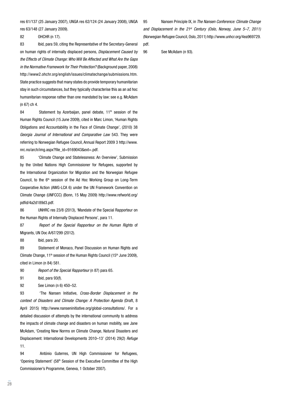res 61/137 (25 January 2007), UNGA res 62/124 (24 January 2008), UNGA res 63/148 (27 January 2009).

82 OHCHR (n 17).

83 Ibid, para 59, citing the Representative of the Secretary-General on human rights of internally displaced persons, *Displacement Caused by the Effects of Climate Change: Who Will Be Affected and What Are the Gaps in the Normative Framework for Their Protection?* (Background paper, 2008) [http://www2.ohchr.org/english/issues/climatechange/submissions.htm.](http://www2.ohchr.org/english/issues/climatechange/submissions.htm) State practice suggests that many states do provide temporary humanitarian stay in such circumstances, but they typically characterise this as an ad hoc humanitarian response rather than one mandated by law: see e.g. McAdam (n 67) ch 4.

84 Statement by Azerbaijan, panel debate, 11<sup>th</sup> session of the Human Rights Council (15 June 2009), cited in Marc Limon, 'Human Rights Obligations and Accountability in the Face of Climate Change', (2010) 38 *Georgia Journal of International and Comparative Law* 543. They were referring to Norwegian Refugee Council, Annual Report 2009 3 [http://www.](http://www.nrc.no/arch/img.aspx?file_id=9169043&ext=.pdf) [nrc.no/arch/img.aspx?file\\_id=9169043&ext=.pdf.](http://www.nrc.no/arch/img.aspx?file_id=9169043&ext=.pdf)

85 'Climate Change and Statelessness: An Overview', Submission by the United Nations High Commissioner for Refugees, supported by the International Organization for Migration and the Norwegian Refugee Council, to the  $6<sup>th</sup>$  session of the Ad Hoc Working Group on Long-Term Cooperative Action (AWG-LCA 6) under the UN Framework Convention on Climate Change (UNFCCC) (Bonn, 15 May 2009) [http://www.refworld.org/](http://www.refworld.org/pdfid/4a2d189d3.pdf) [pdfid/4a2d189d3.pdf.](http://www.refworld.org/pdfid/4a2d189d3.pdf)

86 UNHRC res 23/8 (2013), 'Mandate of the Special Rapporteur on the Human Rights of Internally Displaced Persons', para 11.

87 *Report of the Special Rapporteur on the Human Rights* of Migrants, UN Doc A/67/299 (2012).

88 Ibid, para 20.

89 Statement of Monaco, Panel Discussion on Human Rights and Climate Change,  $11<sup>th</sup>$  session of the Human Rights Council (15<sup>th</sup> June 2009), cited in Limon (n 84) 581.

90 *Report of the Special Rapporteur* (n 87) para 65.

91 Ibid, para 93(f).

92 See Limon (n 6) 450–52.

93 'The Nansen Initiative, *Cross-Border Displacement in the context of Disasters and Climate Change: A Protection Agenda* (Draft, 8 April 2015) http://www.nanseninitiative.org/global-consultations/. For a detailed discussion of attempts by the international community to address the impacts of climate change and disasters on human mobility, see Jane McAdam, 'Creating New Norms on Climate Change, Natural Disasters and Displacement: International Developments 2010–13' (2014) 29(2) *Refuge*  11.

94 António Guterres, UN High Commissioner for Refugees, 'Opening Statement' (58<sup>th</sup> Session of the Executive Committee of the High Commissioner's Programme, Geneva, 1 October 2007).

95 Nansen Principle IX, in *The Nansen Conference: Climate Change and Displacement in the 21st Century (Oslo, Norway, June 5–7, 2011)*  (Norwegian Refugee Council, Oslo, 2011) [http://www.unhcr.org/4ea969729.](http://www.unhcr.org/4ea969729.pdf) [pdf](http://www.unhcr.org/4ea969729.pdf).

96 See McAdam (n 93).